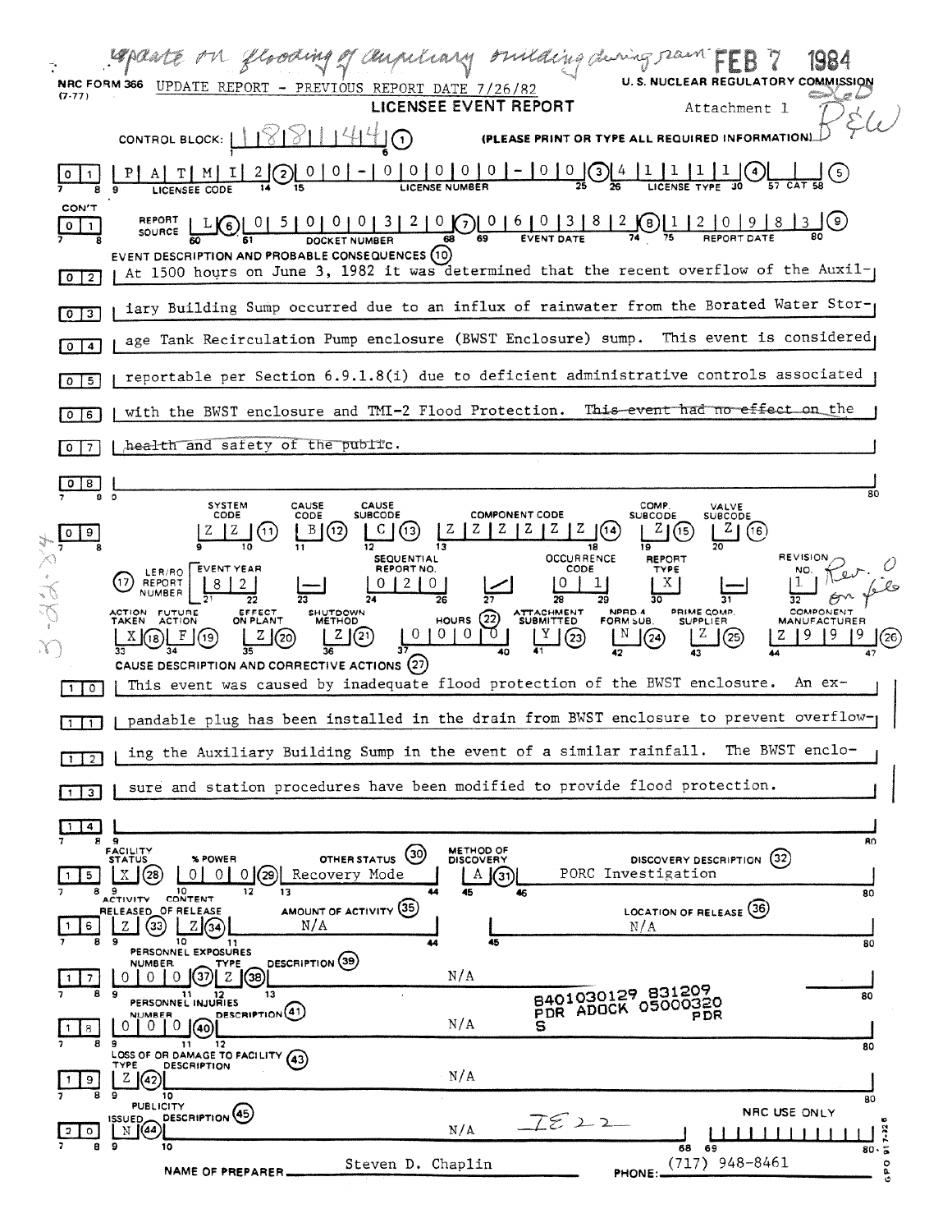| <b>NRC FORM 366</b><br>(7.77) | <b>EAR REGULATORY COMMISSION</b><br>U. S. NUCL<br>UPDATE REPORT - PREVIOUS REPORT DATE 7/26/82<br>LICENSEE EVENT REPORT                                                                                                                                                                                                                                                                                                                                                                              |  |  |
|-------------------------------|------------------------------------------------------------------------------------------------------------------------------------------------------------------------------------------------------------------------------------------------------------------------------------------------------------------------------------------------------------------------------------------------------------------------------------------------------------------------------------------------------|--|--|
|                               | Attachment l<br>(PLEASE PRINT OR TYPE ALL REQUIRED INFORMATION)<br>CONTROL BLOCK:  <br>$\mathbf{1}$                                                                                                                                                                                                                                                                                                                                                                                                  |  |  |
|                               | LICENSE NUMBER<br>9<br>CODE<br><b>LICENSEE</b>                                                                                                                                                                                                                                                                                                                                                                                                                                                       |  |  |
| CON'T<br>0                    | $\overline{0}$<br>6 <sub>1</sub><br>8<br>SOURCE<br><b>DOCKET NUMBER</b><br>68                                                                                                                                                                                                                                                                                                                                                                                                                        |  |  |
| $0 \mid 2$                    | EVENT DESCRIPTION AND PROBABLE CONSEQUENCES (10)<br>At 1500 hours on June 3, 1982 it was determined that the recent overflow of the Auxil-                                                                                                                                                                                                                                                                                                                                                           |  |  |
| $0$   3                       | iary Building Sump occurred due to an influx of rainwater from the Borated Water Stor-                                                                                                                                                                                                                                                                                                                                                                                                               |  |  |
| $\overline{a}$<br>$\Omega$    | age Tank Recirculation Pump enclosure (BWST Enclosure) sump. This event is considered                                                                                                                                                                                                                                                                                                                                                                                                                |  |  |
| 5<br>0                        | reportable per Section 6.9.1.8(i) due to deficient administrative controls associated                                                                                                                                                                                                                                                                                                                                                                                                                |  |  |
| 8<br>0                        | This event had no effect on the<br>with the BWST enclosure and TMI-2 Flood Protection.                                                                                                                                                                                                                                                                                                                                                                                                               |  |  |
| 7                             | health and safety of the public.                                                                                                                                                                                                                                                                                                                                                                                                                                                                     |  |  |
| 8                             | 80<br>$\cdot$                                                                                                                                                                                                                                                                                                                                                                                                                                                                                        |  |  |
| 9                             | <b>SYSTEM</b><br><b>CAUSE</b><br>COMP.<br>CAUSE<br>VALVE<br><b>COMPONENT CODE</b><br>CODE<br>CODE<br><b>SUBCODE</b><br><b>SUBCODE</b><br>SUBCODE<br>zι<br>В<br>13<br>(14<br>(16<br>11<br>18<br>19                                                                                                                                                                                                                                                                                                    |  |  |
|                               | <b>REVISION</b><br><b>OCCURRENCE</b><br><b>SEQUENTIAL</b><br>REPORT<br>REPORT NO.<br><b>EVENT YEAR</b><br>CODE<br><b>TYPE</b><br>NO<br>LER/RO  <br>REPORT<br>X.<br>NUMBER<br>27<br>28<br>29<br>26<br>٦Ω<br>COMPONENT<br><b>ATTACHMENT</b><br>NPRD-4<br>PRIME COMP.<br>ACTION FUTURE<br>EFFECT<br>SHUTDOWN<br>(22)<br><b>HOURS</b><br><b>TAKEN</b><br><b>ACTION</b><br>ON PLANT<br><b>METHOD</b><br><b>SUBMITTED</b><br>FORM SUB.<br><b>SUPPLIER</b><br>MANUFACTURER<br>0<br>0<br>25<br>19<br>$^{23}$ |  |  |
|                               |                                                                                                                                                                                                                                                                                                                                                                                                                                                                                                      |  |  |
|                               | CAUSE DESCRIPTION AND CORRECTIVE ACTIONS (27)<br>This event was caused by inadequate flood protection of the BWST enclosure.<br>An ex-                                                                                                                                                                                                                                                                                                                                                               |  |  |
| $\circ$                       | pandable plug has been installed in the drain from BWST enclosure to prevent overflow-                                                                                                                                                                                                                                                                                                                                                                                                               |  |  |
| $\mathbf{1}$                  | The BWST enclo-<br>ing the Auxiliary Building Sump in the event of a similar rainfall.                                                                                                                                                                                                                                                                                                                                                                                                               |  |  |
| $1 \mid 2 \mid$               | sure and station procedures have been modified to provide flood protection.                                                                                                                                                                                                                                                                                                                                                                                                                          |  |  |
| $\vert 1 \vert 3 \vert$       |                                                                                                                                                                                                                                                                                                                                                                                                                                                                                                      |  |  |
| 1 4<br>89                     | 80<br><b>METHOD OF</b><br>FACILITY<br>STATUS<br>(30)                                                                                                                                                                                                                                                                                                                                                                                                                                                 |  |  |
| 5<br>8.                       | (32)<br>OTHER STATUS<br>% POWER<br>DISCOVERY DESCRIPTION<br>DISCOVERY<br>PORC Investigation<br>Recovery Mode<br>28<br>0.<br>$\Omega$<br>$\overline{0}$<br>29)<br>A $(31)$<br>10<br>9<br>12<br>13<br>45<br>44<br>46<br>80<br>CONTENT<br><b>ACTIVITY</b>                                                                                                                                                                                                                                               |  |  |
| 6                             | AMOUNT OF ACTIVITY (35)<br>LOCATION OF RELEASE (36)<br>RELEASED OF RELEASE<br>N/A<br>33<br>N/A<br>9<br>10<br>45<br>11                                                                                                                                                                                                                                                                                                                                                                                |  |  |
| $\overline{\phantom{a}}$      | 80<br>PERSONNEL EXPOSURES<br>DESCRIPTION (39)<br><b>NUMBER</b><br>TYPE<br>N/A<br>37)<br>38)<br>0<br>0<br>Z<br>0                                                                                                                                                                                                                                                                                                                                                                                      |  |  |
| 8                             | 8401030129_831209<br>9<br>13<br>80<br>21 12<br>PERSONNEL INJURIES<br><b>PDR ADOCK 05000320</b><br><b>DESCRIPTION</b> (41)                                                                                                                                                                                                                                                                                                                                                                            |  |  |
| 8<br>8                        | NUMBER<br>PDR<br>N/A<br>0<br>10.<br>0.<br>s<br>40<br>9<br>12<br>11<br>80                                                                                                                                                                                                                                                                                                                                                                                                                             |  |  |
| 9                             | LOSS OF OR DAMAGE TO FACILITY (43)<br><b>TYPE</b><br><b>DESCRIPTION</b><br>N/A<br>Z.<br>(42)<br>9<br>10                                                                                                                                                                                                                                                                                                                                                                                              |  |  |
| o<br>2                        | 80<br><b>PUBLICITY</b><br>NRC USE ONLY<br>DESCRIPTION (45)<br>IE22<br><b>ISSUED</b><br>(44)<br>N/A<br>$7 - 32$<br>N                                                                                                                                                                                                                                                                                                                                                                                  |  |  |
| 8                             | 9<br>10<br>- 69<br>68<br>80.5<br>$(717)$ 948-8461<br>Steven D. Chaplin<br>$\circ$<br>NAME OF PREPARER.<br><b>PHONE:</b><br>۵                                                                                                                                                                                                                                                                                                                                                                         |  |  |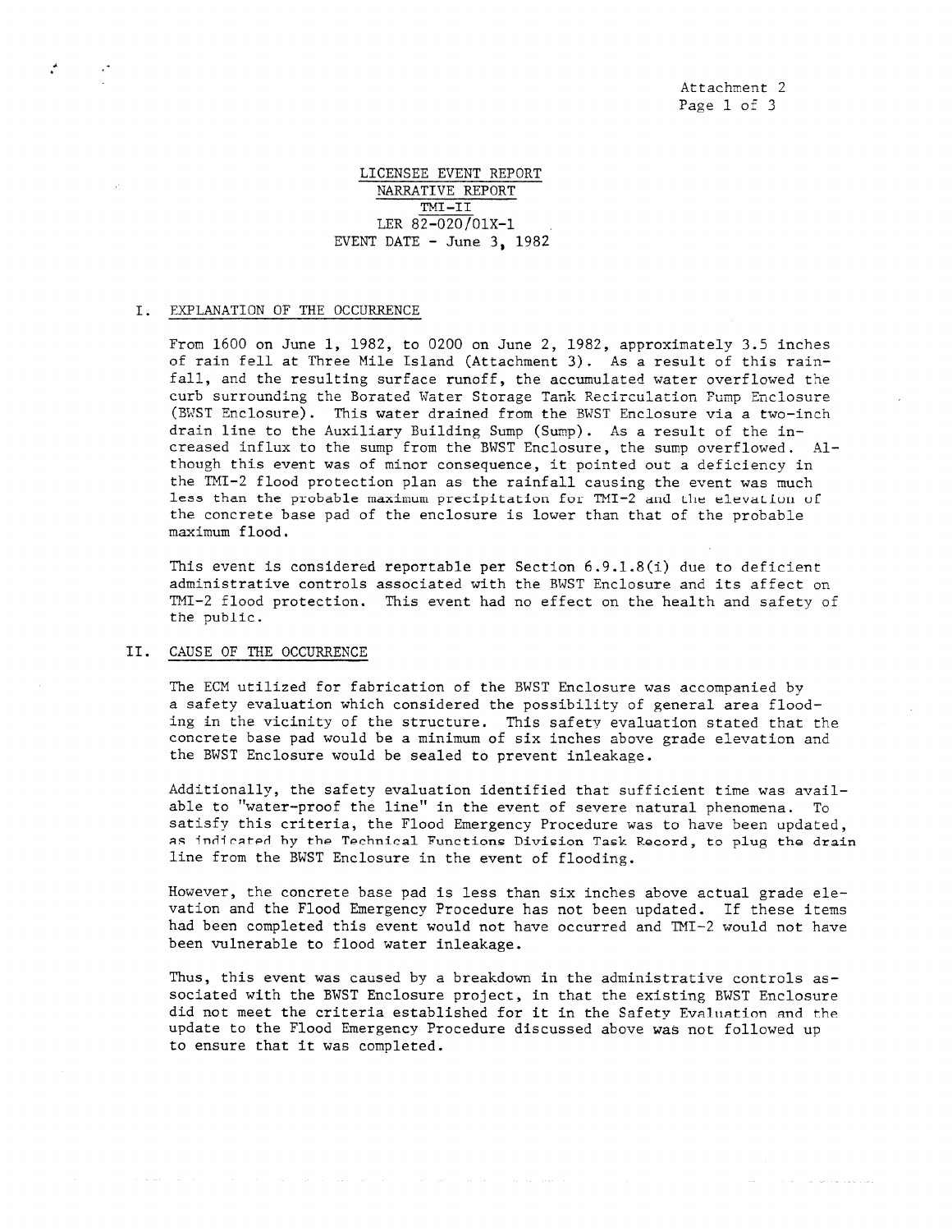Attachment 2 Page 1 of 3

LICENSEE EVENT REPORT NARRATIVE REPORT TMI-II LER  $82-020/01X-1$ EVENT DATE  $-$  June 3, 1982

## I. EXPLANATION OF THE OCCURRENCE

From 1600 on June 1, 1982, to 0200 on June 2, 1982, approximately 3.5 inches of rain fell at Three Mile Island (Attachment 3). As a result of this rainfall, and the resulting surface runoff, the accumulated water overflowed the curb surrounding the Borated Water Storage Tank Recirculation Pump Enclosure (BWST Enclosure). This water drained from the BWST Enclosure via a two-inch drain line to the Auxiliary Building Sump (Sump). As a result of the increased influx to the sump from the BWST Enclosure, the sump overflowed. Although this event was of minor consequence, it pointed out a deficiency in the TMI-2 flood protection plan as the rainfall causing the event was much less than the probable maximum precipitation for TMI-2 and the elevation of the concrete base pad of the enclosure is lower than that of the probable maximum flood.

This event is considered reportable per Section  $6.9.1.8(i)$  due to deficient administrative controls associated with the BWST Enclosure and its affect on TMI-2 flood protection. This event had no effect on the health and safety of the public.

## II. CAUSE OF THE OCCURRENCE

The ECM utilized for fabrication of the BWST Enclosure was accompanied by a safety evaluation which considered the possibility of general area flooding in the vicinity of the structure. This safety evaluation stated that the concrete base pad would be a minimum of six inches above grade elevation and the BWST Enclosure would be sealed to prevent inleakage.

Additionally, the safety evaluation identified that sufficient time was available to "water-proof the line" in the event of severe natural phenomena. To satisfy this criteria, the Flood Emergency Procedure was to have been updated, as indirated by the Technical Functions Division Task Record, to plug the drain line from the BWST Enclosure in the event of flooding.

However, the concrete base pad is less than six inches above actual grade elevation and the Flood Emergency Procedure has not been updated. If these items had been completed this event would not have occurred and TMI-2 would not have been vulnerable to flood water inleakage.

Thus, this event was caused by a breakdown in the administrative controls associated with the BWST Enclosure project, in that the existing BWST Enclosure did not meet the criteria established for it in the Safety Evaluation and the update to the Flood Emergency Procedure discussed above was not followed up to ensure that it was completed.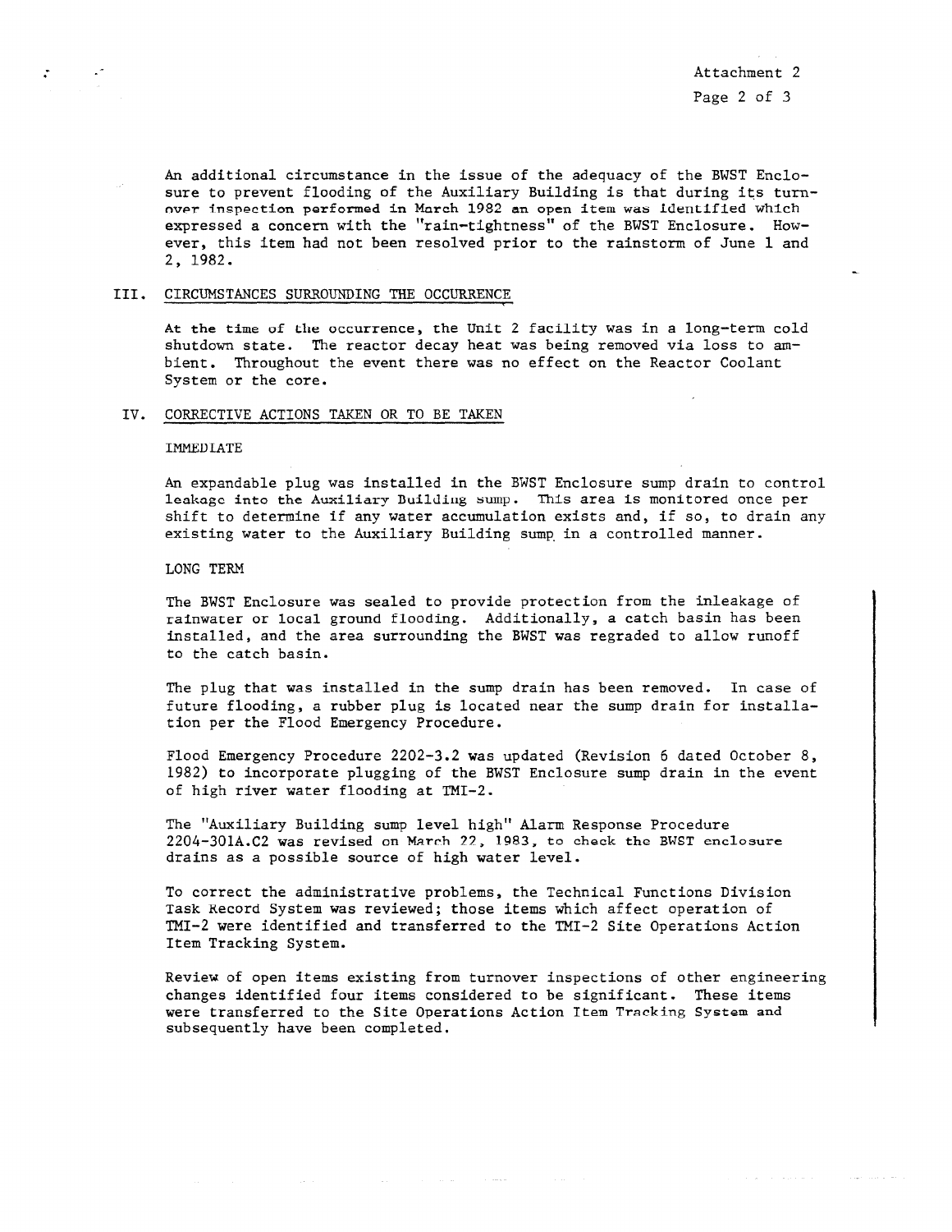Attachment 2 Page 2 of 3

المعاصر والمتحدث والمتحدث

An additional circumstance in the issue of the adequacy of the BWST Enclosure to prevent flooding of the Auxiliary Building is that during its turnover inspection performed in March 1982 an open item wasidentified which expressed a concern with the "rain-tightness" of the BWST Enclosure. However, this item had not been resolved prior to the rainstorm of June 1 and 2, 1982.

#### III. CIRCUMSTANCES SURROUNDING THE OCCURRENCE

At the time of the occurrence, the Unit 2 facility was in a long-term cold shutdown state. The reactor decay heat was being removed via loss to ambient. Throughout the event there was no effect on the Reactor Coolant System or the core.

#### IV. CORRECTIVE ACTIONS TAKEN OR TO BE TAKEN

#### IMMEDIATE

An expandable plug was installed in the BWST Enclosure sump drain to control leakage into the Auxiliary Building sump. This area is monitored once per shift to determine if any water accumulation exists and, if so, to drain any existing water to the Auxiliary Building sump in a controlled manner.

#### LONG TERM

The BWST Enclosure was sealed to provide protection from the inleakage of rainwater or local ground flooding. Additionally, a catch basin has been installed, and the area surrounding the BWST was regraded to allow runoff to the catch basin.

The plug that was installed in the sump drain has been removed. In case of future flooding, a rubber plug is located near the sump drain for installation per the Flood Emergency Procedure.

Flood Emergency Procedure 2202-3.2 was updated (Revision 6 dated October 8, 1982) to incorporate plugging of the BWST Enclosure sump drain in the event of high river water flooding at TMI-2.

The "Auxiliary Building sump level high" Alarm Response Procedure 2204-301A.C2 was revised on March 22, 1983, to check the BWST enclosure drains as a possible source of high water level.

To correct the administrative problems, the Technical Functions Division Task xecord System was reviewed; those items which affect operation of TMI-2 were identified and transferred to the TMI-2 Site Operations Action Item Tracking System.

Review of open items existing from turnover inspections of other engineering changes identified four items considered to be significant. These items were transferred to the Site Operations Action Item Tracking System and subsequently have been completed.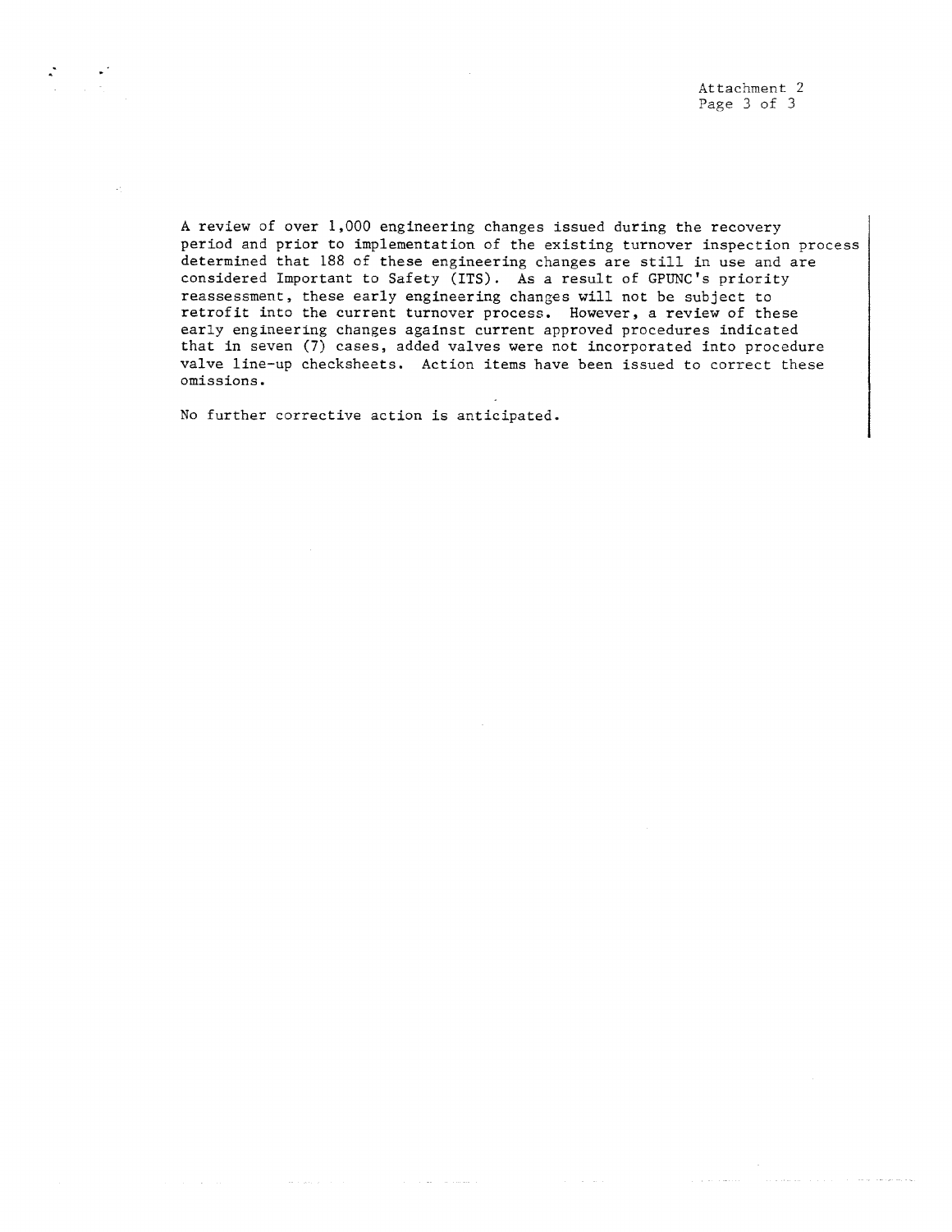Attachment 2 Page 3 of 3

A review of over 1,000 engineering changes issued during the recovery period and prior to implementation of the existing turnover inspection process determined that 188 of these engineering changes are still in use and are considered Important to Safety (ITS). As a result of GPUNC's priority reassessment, these early engineering changes will not be subject to retrofit into the current turnover process. However, a review of these early engineering changes against current approved procedures indicated that in seven (7) cases, added valves were not incorporated into procedure valve line-up checksheets. Action items have been issued to correct these omissions.

No further corrective action is anticipated.

and some production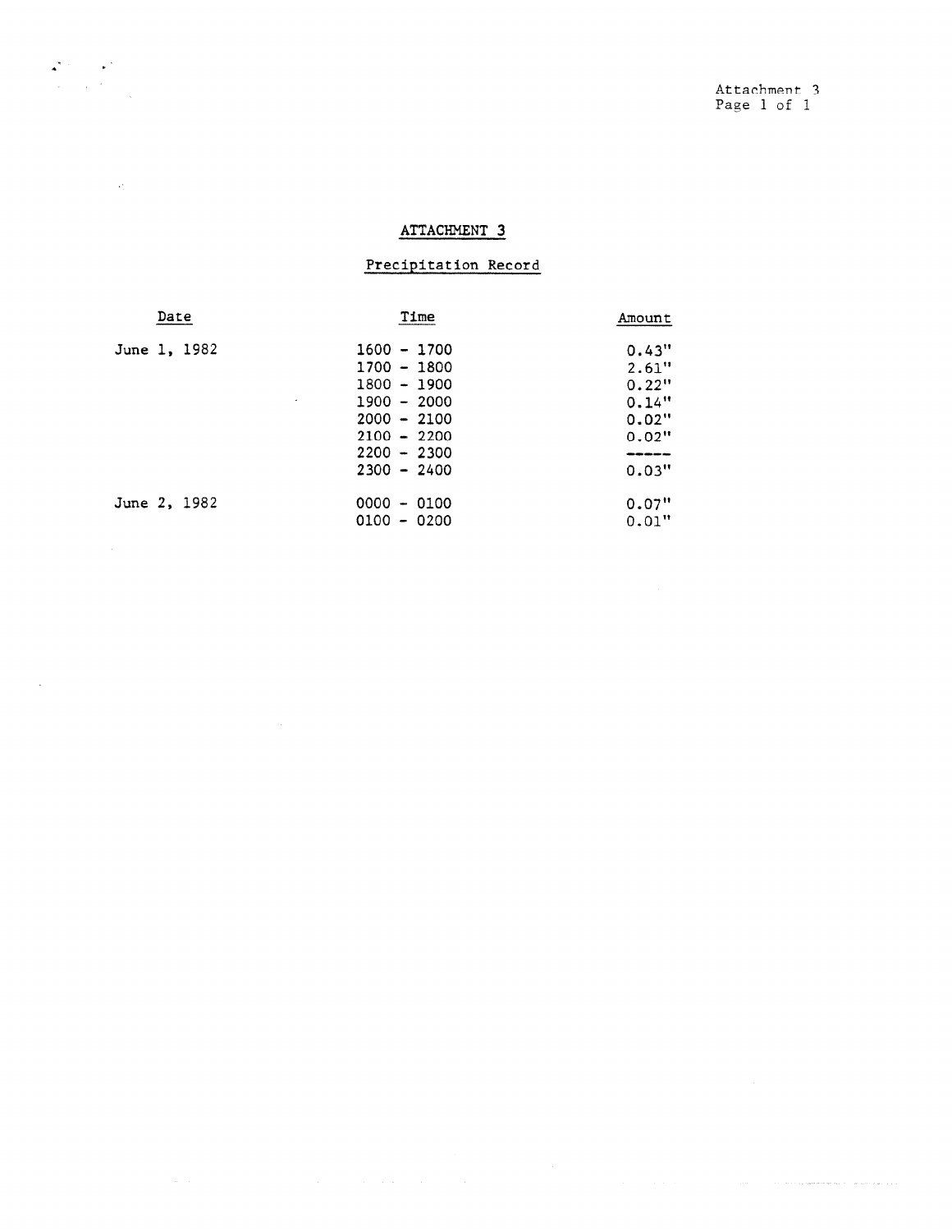$\label{eq:1} \mathcal{L}_{\mathcal{A}}(\mathcal{A}) = \mathcal{L}_{\mathcal{A}}(\mathcal{A}) + \mathcal{L}_{\mathcal{A}}(\mathcal{A}) + \mathcal{L}_{\mathcal{A}}(\mathcal{A}) + \mathcal{L}_{\mathcal{A}}(\mathcal{A}) + \mathcal{L}_{\mathcal{A}}(\mathcal{A}) + \mathcal{L}_{\mathcal{A}}(\mathcal{A}) + \mathcal{L}_{\mathcal{A}}(\mathcal{A}) + \mathcal{L}_{\mathcal{A}}(\mathcal{A}) + \mathcal{L}_{\mathcal{A}}(\mathcal{A}) + \mathcal{L}_{\mathcal{A}}(\mathcal{A}) + \mathcal{$ 

# ATTACHMENT 3

## Precipitation Record

| Date         | Time               | Amount   |
|--------------|--------------------|----------|
| June 1, 1982 | $1600 - 1700$      | 0.43"    |
|              | $1700 - 1800$      | 2.61"    |
|              | $1800 - 1900$      | 0.22"    |
|              | $1900 - 2000$<br>٠ | 0.14"    |
|              | $2000 - 2100$      | 0.02"    |
|              | $2100 - 2200$      | $0.02$ " |
|              | $2200 - 2300$      |          |
|              | $2300 - 2400$      | 0.03"    |
| June 2, 1982 | $0000 - 0100$      | 0.07"    |
|              | $0100 - 0200$      | 0.01"    |

 $\begin{split} \mathbf{A}^{(k)} &= \mathbf{A}^{(k)} \mathbf{1}_{\mathbf{A}^{(k)}} \\ &= \mathbf{A}^{(k)} \mathbf{1}_{\mathbf{A}^{(k)}} \\ &= \mathbf{A}^{(k)} \mathbf{1}_{\mathbf{A}^{(k)}} \\ &= \mathbf{A}^{(k)} \mathbf{1}_{\mathbf{A}^{(k)}} \\ &= \mathbf{A}^{(k)} \mathbf{1}_{\mathbf{A}^{(k)}} \\ &= \mathbf{A}^{(k)} \mathbf{1}_{\mathbf{A}^{(k)}} \\ &= \mathbf{A}^{(k)} \mathbf{1}_{\mathbf{A}^{(k)}} \\ &= \mathbf{A}^{($ 

 $\sim 40\%$ 

 $\mathcal{L}(\mathcal{A})$  .

 $\mathcal{A}^{\pm}$